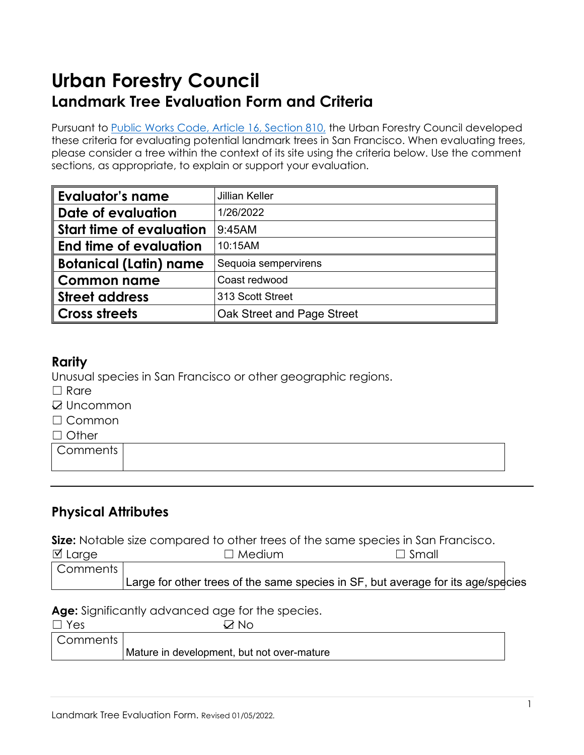# **Urban Forestry Council Landmark Tree Evaluation Form and Criteria**

Pursuant to [Public Works Code,](https://codelibrary.amlegal.com/codes/san_francisco/latest/sf_publicworks/0-0-0-4204) Article 16, Section 810, the Urban Forestry Council developed these criteria for evaluating potential landmark trees in San Francisco. When evaluating trees, please consider a tree within the context of its site using the criteria below. Use the comment sections, as appropriate, to explain or support your evaluation.

| <b>Evaluator's name</b>         | <b>Jillian Keller</b>      |  |
|---------------------------------|----------------------------|--|
| Date of evaluation              | 1/26/2022                  |  |
| <b>Start time of evaluation</b> | 9:45AM                     |  |
| End time of evaluation          | 10:15AM                    |  |
| <b>Botanical (Latin) name</b>   | Sequoia sempervirens       |  |
| <b>Common name</b>              | Coast redwood              |  |
| <b>Street address</b>           | 313 Scott Street           |  |
| <b>Cross streets</b>            | Oak Street and Page Street |  |

## **Rarity**

Unusual species in San Francisco or other geographic regions.

- □ Rare
- **☑ Uncommon**
- ☐ Common
- □ Other

**Comments** 

# **Physical Attributes**

**Size:** Notable size compared to other trees of the same species in San Francisco.

| $\boxtimes$ Large | $\Box$ Medium                                                                    | $\Box$ Small |  |
|-------------------|----------------------------------------------------------------------------------|--------------|--|
| Comments I        |                                                                                  |              |  |
|                   | Large for other trees of the same species in SF, but average for its age/species |              |  |

**Age:** Significantly advanced age for the species.

| $\Box$ Yes | Z No                                       |
|------------|--------------------------------------------|
| Comments   |                                            |
|            | Mature in development, but not over-mature |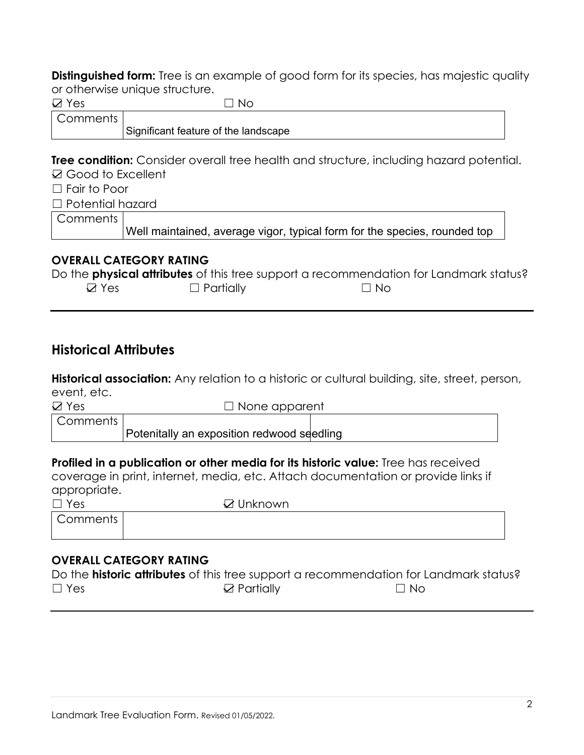**Distinguished form:** Tree is an example of good form for its species, has majestic quality or otherwise unique structure.

| $\boxtimes$ Yes         | -No                                                                                                                                                                                                                                                                                                                                                                                                                                                                                        |
|-------------------------|--------------------------------------------------------------------------------------------------------------------------------------------------------------------------------------------------------------------------------------------------------------------------------------------------------------------------------------------------------------------------------------------------------------------------------------------------------------------------------------------|
| Comments                |                                                                                                                                                                                                                                                                                                                                                                                                                                                                                            |
|                         | Significant feature of the landscape                                                                                                                                                                                                                                                                                                                                                                                                                                                       |
|                         |                                                                                                                                                                                                                                                                                                                                                                                                                                                                                            |
|                         | <b>Tree condition:</b> Consider overall tree health and structure, including hazard potential.                                                                                                                                                                                                                                                                                                                                                                                             |
| ☑ Good to Excellent     |                                                                                                                                                                                                                                                                                                                                                                                                                                                                                            |
| $\Box$ Fair to Poor     |                                                                                                                                                                                                                                                                                                                                                                                                                                                                                            |
| $\Box$ Potential hazard |                                                                                                                                                                                                                                                                                                                                                                                                                                                                                            |
| Comments                |                                                                                                                                                                                                                                                                                                                                                                                                                                                                                            |
|                         | Well maintained, average vigor, typical form for the species, rounded top                                                                                                                                                                                                                                                                                                                                                                                                                  |
|                         |                                                                                                                                                                                                                                                                                                                                                                                                                                                                                            |
|                         | $\blacksquare$ $\blacksquare$ $\blacksquare$ $\blacksquare$ $\blacksquare$ $\blacksquare$ $\blacksquare$ $\blacksquare$ $\blacksquare$ $\blacksquare$ $\blacksquare$ $\blacksquare$ $\blacksquare$ $\blacksquare$ $\blacksquare$ $\blacksquare$ $\blacksquare$ $\blacksquare$ $\blacksquare$ $\blacksquare$ $\blacksquare$ $\blacksquare$ $\blacksquare$ $\blacksquare$ $\blacksquare$ $\blacksquare$ $\blacksquare$ $\blacksquare$ $\blacksquare$ $\blacksquare$ $\blacksquare$ $\blacks$ |

#### **OVERALL CATEGORY RATING**

|                 |                  | Do the <b>physical attributes</b> of this tree support a recommendation for Landmark status? |
|-----------------|------------------|----------------------------------------------------------------------------------------------|
| $\boxtimes$ Yes | $\Box$ Partially | $\Box$ No                                                                                    |

# **Historical Attributes**

**Historical association:** Any relation to a historic or cultural building, site, street, person, event, etc.

**☑ Yes □ None apparent** Comments

Potenitally an exposition redwood seedling

**Profiled in a publication or other media for its historic value:** Tree has received coverage in print, internet, media, etc. Attach documentation or provide links if appropriate.

| $\Box$ Yes | ☑ Unknown |
|------------|-----------|
| Comments   |           |
|            |           |

### **OVERALL CATEGORY RATING**

|            |                       | Do the <b>historic attributes</b> of this tree support a recommendation for Landmark status? |
|------------|-----------------------|----------------------------------------------------------------------------------------------|
| $\Box$ Yes | $\boxtimes$ Partially | ⊟ No                                                                                         |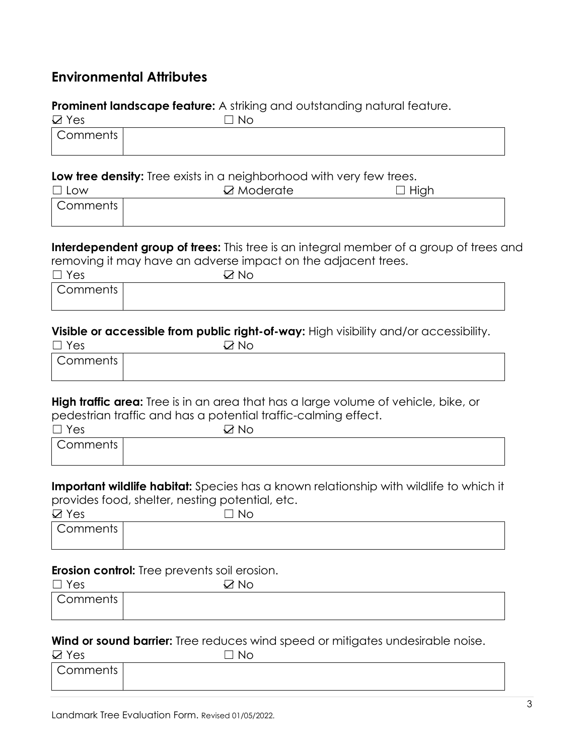# **Environmental Attributes**

#### **Prominent landscape feature:** A striking and outstanding natural feature.

| $\boxtimes$ Yes | $\neg$ No |
|-----------------|-----------|
| <b>Comments</b> |           |
|                 |           |

#### **Low tree density:** Tree exists in a neighborhood with very few trees.

| $\Box$ Low | $\boxtimes$ Moderate | $\sqcup$ High |
|------------|----------------------|---------------|
| Comments   |                      |               |
|            |                      |               |

**Interdependent group of trees:** This tree is an integral member of a group of trees and removing it may have an adverse impact on the adjacent trees.

| $\Box$ Yes | ⊃<br><b>No</b> |  |
|------------|----------------|--|
| Comments   |                |  |
|            |                |  |

#### **Visible or accessible from public right-of-way:** High visibility and/or accessibility.

| $\Box$ Yes | $\Box$ No |  |
|------------|-----------|--|
| Comments   |           |  |
|            |           |  |

**High traffic area:** Tree is in an area that has a large volume of vehicle, bike, or pedestrian traffic and has a potential traffic-calming effect.

| $\Box$ Yes | $\boxtimes$ No |  |
|------------|----------------|--|
| Comments   |                |  |
|            |                |  |

**Important wildlife habitat:** Species has a known relationship with wildlife to which it provides food, shelter, nesting potential, etc.

| $\boxtimes$ Yes | $\neg$ No |  |
|-----------------|-----------|--|
| Comments        |           |  |
|                 |           |  |

#### **Erosion control:** Tree prevents soil erosion.

| $\Box$ Yes | $\boxtimes$ No |  |
|------------|----------------|--|
| Comments   |                |  |
|            |                |  |

#### **Wind or sound barrier:** Tree reduces wind speed or mitigates undesirable noise.

| $\boxtimes$ Yes | $\Box$ No |  |
|-----------------|-----------|--|
| Comments        |           |  |
|                 |           |  |